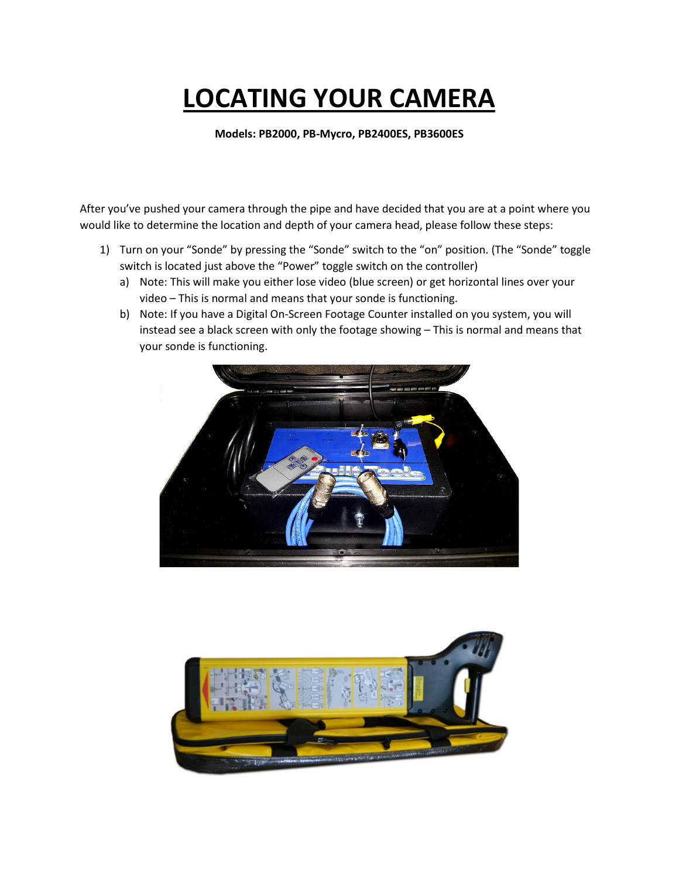## **LOCATING YOUR CAMERA**

**Models: PB2000, PB-Mycro, PB2400ES, PB3600ES**

After you've pushed your camera through the pipe and have decided that you are at a point where you would like to determine the location and depth of your camera head, please follow these steps:

- 1) Turn on your "Sonde" by pressing the "Sonde" switch to the "on" position. (The "Sonde" toggle switch is located just above the "Power" toggle switch on the controller)
	- a) Note: This will make you either lose video (blue screen) or get horizontal lines over your video – This is normal and means that your sonde is functioning.
	- b) Note: If you have a Digital On-Screen Footage Counter installed on you system, you will instead see a black screen with only the footage showing – This is normal and means that your sonde is functioning.